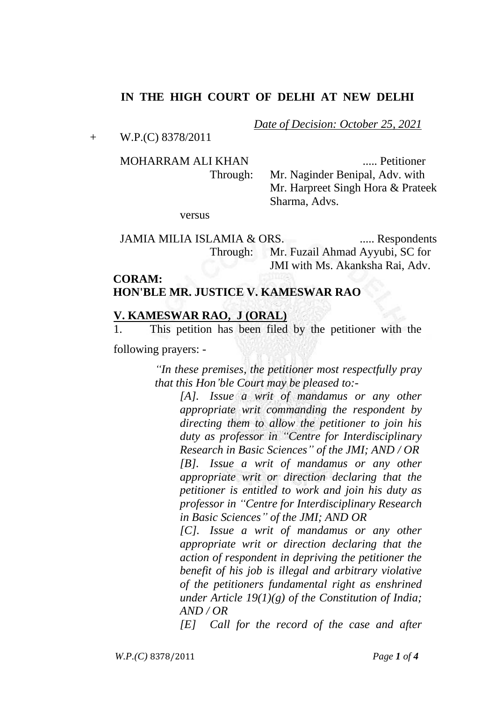## **IN THE HIGH COURT OF DELHI AT NEW DELHI**

+ W.P.(C) 8378/2011

MOHARRAM ALI KHAN ..... Petitioner Through: Mr. Naginder Benipal, Adv. with Mr. Harpreet Singh Hora & Prateek Sharma, Advs.

*Date of Decision: October 25, 2021*

versus

JAMIA MILIA ISLAMIA & ORS. ...... Respondents Through: Mr. Fuzail Ahmad Ayyubi, SC for JMI with Ms. Akanksha Rai, Adv.

# **CORAM: HON'BLE MR. JUSTICE V. KAMESWAR RAO**

#### **V. KAMESWAR RAO, J (ORAL)**

1. This petition has been filed by the petitioner with the

following prayers: -

*"In these premises, the petitioner most respectfully pray that this Hon'ble Court may be pleased to:-*

*[A]. Issue a writ of mandamus or any other appropriate writ commanding the respondent by directing them to allow the petitioner to join his duty as professor in "Centre for Interdisciplinary Research in Basic Sciences" of the JMI; AND / OR [B]. Issue a writ of mandamus or any other appropriate writ or direction declaring that the petitioner is entitled to work and join his duty as professor in "Centre for Interdisciplinary Research in Basic Sciences" of the JMI; AND OR* 

*[C]. Issue a writ of mandamus or any other appropriate writ or direction declaring that the action of respondent in depriving the petitioner the benefit of his job is illegal and arbitrary violative of the petitioners fundamental right as enshrined under Article 19(1)(g) of the Constitution of India; AND / OR* 

*[E] Call for the record of the case and after*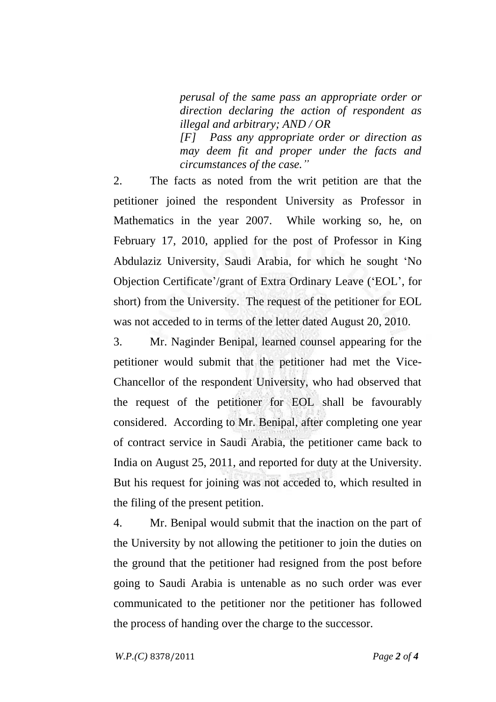*perusal of the same pass an appropriate order or direction declaring the action of respondent as illegal and arbitrary; AND / OR* 

*[F] Pass any appropriate order or direction as may deem fit and proper under the facts and circumstances of the case."*

2. The facts as noted from the writ petition are that the petitioner joined the respondent University as Professor in Mathematics in the year 2007. While working so, he, on February 17, 2010, applied for the post of Professor in King Abdulaziz University, Saudi Arabia, for which he sought 'No Objection Certificate'/grant of Extra Ordinary Leave ('EOL', for short) from the University. The request of the petitioner for EOL was not acceded to in terms of the letter dated August 20, 2010.

3. Mr. Naginder Benipal, learned counsel appearing for the petitioner would submit that the petitioner had met the Vice-Chancellor of the respondent University, who had observed that the request of the petitioner for EOL shall be favourably considered. According to Mr. Benipal, after completing one year of contract service in Saudi Arabia, the petitioner came back to India on August 25, 2011, and reported for duty at the University. But his request for joining was not acceded to, which resulted in the filing of the present petition.

4. Mr. Benipal would submit that the inaction on the part of the University by not allowing the petitioner to join the duties on the ground that the petitioner had resigned from the post before going to Saudi Arabia is untenable as no such order was ever communicated to the petitioner nor the petitioner has followed the process of handing over the charge to the successor.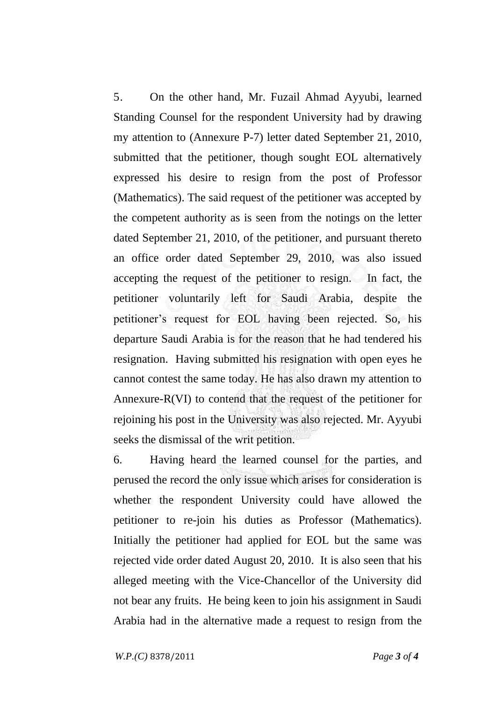5. On the other hand, Mr. Fuzail Ahmad Ayyubi, learned Standing Counsel for the respondent University had by drawing my attention to (Annexure P-7) letter dated September 21, 2010, submitted that the petitioner, though sought EOL alternatively expressed his desire to resign from the post of Professor (Mathematics). The said request of the petitioner was accepted by the competent authority as is seen from the notings on the letter dated September 21, 2010, of the petitioner, and pursuant thereto an office order dated September 29, 2010, was also issued accepting the request of the petitioner to resign. In fact, the petitioner voluntarily left for Saudi Arabia, despite the petitioner's request for EOL having been rejected. So, his departure Saudi Arabia is for the reason that he had tendered his resignation. Having submitted his resignation with open eyes he cannot contest the same today. He has also drawn my attention to Annexure-R(VI) to contend that the request of the petitioner for rejoining his post in the University was also rejected. Mr. Ayyubi seeks the dismissal of the writ petition.

6. Having heard the learned counsel for the parties, and perused the record the only issue which arises for consideration is whether the respondent University could have allowed the petitioner to re-join his duties as Professor (Mathematics). Initially the petitioner had applied for EOL but the same was rejected vide order dated August 20, 2010. It is also seen that his alleged meeting with the Vice-Chancellor of the University did not bear any fruits. He being keen to join his assignment in Saudi Arabia had in the alternative made a request to resign from the